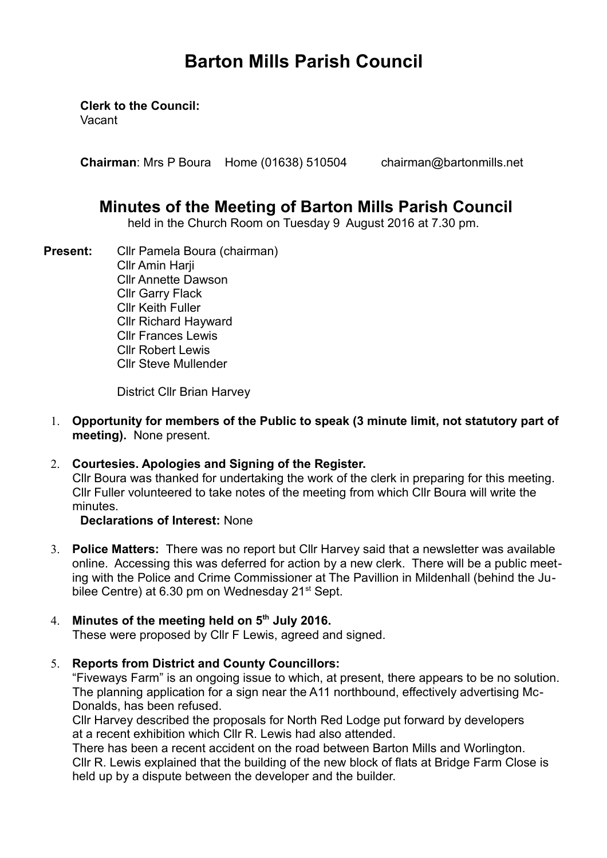# **Barton Mills Parish Council**

**Clerk to the Council:**

Vacant

**Chairman**: Mrs P Boura Home (01638) 510504 chairman@bartonmills.net

# **Minutes of the Meeting of Barton Mills Parish Council**

held in the Church Room on Tuesday 9 August 2016 at 7.30 pm.

**Present:** Cllr Pamela Boura (chairman) **Cllr Amin Harii** Cllr Annette Dawson Cllr Garry Flack Cllr Keith Fuller Cllr Richard Hayward Cllr Frances Lewis Cllr Robert Lewis Cllr Steve Mullender

District Cllr Brian Harvey

- 1. **Opportunity for members of the Public to speak (3 minute limit, not statutory part of meeting).** None present.
- 2. **Courtesies. Apologies and Signing of the Register.** Cllr Boura was thanked for undertaking the work of the clerk in preparing for this meeting. Cllr Fuller volunteered to take notes of the meeting from which Cllr Boura will write the minutes.

## **Declarations of Interest:** None

3. **Police Matters:** There was no report but Cllr Harvey said that a newsletter was available online. Accessing this was deferred for action by a new clerk. There will be a public meeting with the Police and Crime Commissioner at The Pavillion in Mildenhall (behind the Jubilee Centre) at 6.30 pm on Wednesday 21<sup>st</sup> Sept.

# 4. **Minutes of the meeting held on 5th July 2016.**

These were proposed by Cllr F Lewis, agreed and signed.

5. **Reports from District and County Councillors:** 

"Fiveways Farm" is an ongoing issue to which, at present, there appears to be no solution. The planning application for a sign near the A11 northbound, effectively advertising Mc-Donalds, has been refused.

Cllr Harvey described the proposals for North Red Lodge put forward by developers at a recent exhibition which Cllr R. Lewis had also attended.

There has been a recent accident on the road between Barton Mills and Worlington. Cllr R. Lewis explained that the building of the new block of flats at Bridge Farm Close is held up by a dispute between the developer and the builder.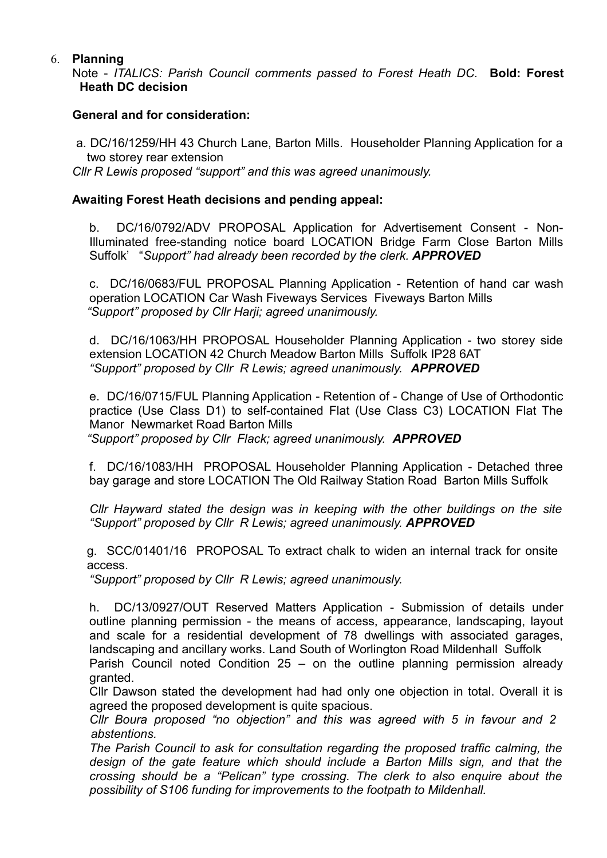#### 6. **Planning**

Note - *ITALICS: Parish Council comments passed to Forest Heath DC.* **Bold: Forest Heath DC decision**

#### **General and for consideration:**

 a. DC/16/1259/HH 43 Church Lane, Barton Mills. Householder Planning Application for a two storey rear extension

*Cllr R Lewis proposed "support" and this was agreed unanimously.*

#### **Awaiting Forest Heath decisions and pending appeal:**

b. DC/16/0792/ADV PROPOSAL Application for Advertisement Consent - Non-Illuminated free-standing notice board LOCATION Bridge Farm Close Barton Mills Suffolk' "*Support" had already been recorded by the clerk. APPROVED*

c. DC/16/0683/FUL PROPOSAL Planning Application - Retention of hand car wash operation LOCATION Car Wash Fiveways Services Fiveways Barton Mills *"Support" proposed by Cllr Harji; agreed unanimously.*

d. DC/16/1063/HH PROPOSAL Householder Planning Application - two storey side extension LOCATION 42 Church Meadow Barton Mills Suffolk IP28 6AT *"Support" proposed by Cllr R Lewis; agreed unanimously. APPROVED*

e. DC/16/0715/FUL Planning Application - Retention of - Change of Use of Orthodontic practice (Use Class D1) to self-contained Flat (Use Class C3) LOCATION Flat The Manor Newmarket Road Barton Mills

*"Support" proposed by Cllr Flack; agreed unanimously. APPROVED*

f. DC/16/1083/HH PROPOSAL Householder Planning Application - Detached three bay garage and store LOCATION The Old Railway Station Road Barton Mills Suffolk

*Cllr Hayward stated the design was in keeping with the other buildings on the site "Support" proposed by Cllr R Lewis; agreed unanimously. APPROVED*

g. SCC/01401/16 PROPOSAL To extract chalk to widen an internal track for onsite access.

*"Support" proposed by Cllr R Lewis; agreed unanimously.*

h. DC/13/0927/OUT Reserved Matters Application - Submission of details under outline planning permission - the means of access, appearance, landscaping, layout and scale for a residential development of 78 dwellings with associated garages, landscaping and ancillary works. Land South of Worlington Road Mildenhall Suffolk

Parish Council noted Condition 25 – on the outline planning permission already granted.

Cllr Dawson stated the development had had only one objection in total. Overall it is agreed the proposed development is quite spacious.

*Cllr Boura proposed "no objection" and this was agreed with 5 in favour and 2 abstentions.*

*The Parish Council to ask for consultation regarding the proposed traffic calming, the design of the gate feature which should include a Barton Mills sign, and that the crossing should be a "Pelican" type crossing. The clerk to also enquire about the possibility of S106 funding for improvements to the footpath to Mildenhall.*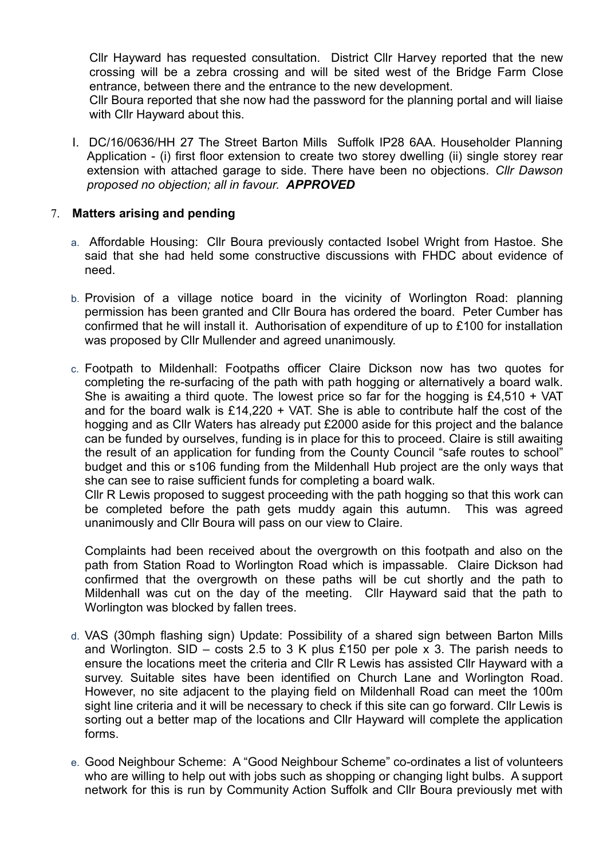Cllr Hayward has requested consultation. District Cllr Harvey reported that the new crossing will be a zebra crossing and will be sited west of the Bridge Farm Close entrance, between there and the entrance to the new development.

Cllr Boura reported that she now had the password for the planning portal and will liaise with Cllr Hayward about this.

I. DC/16/0636/HH 27 The Street Barton Mills Suffolk IP28 6AA. Householder Planning Application - (i) first floor extension to create two storey dwelling (ii) single storey rear extension with attached garage to side. There have been no objections. *Cllr Dawson proposed no objection; all in favour. APPROVED*

#### 7. **Matters arising and pending**

- a. Affordable Housing: Cllr Boura previously contacted Isobel Wright from Hastoe. She said that she had held some constructive discussions with FHDC about evidence of need.
- b. Provision of a village notice board in the vicinity of Worlington Road: planning permission has been granted and Cllr Boura has ordered the board. Peter Cumber has confirmed that he will install it. Authorisation of expenditure of up to £100 for installation was proposed by Cllr Mullender and agreed unanimously.
- c. Footpath to Mildenhall: Footpaths officer Claire Dickson now has two quotes for completing the re-surfacing of the path with path hogging or alternatively a board walk. She is awaiting a third quote. The lowest price so far for the hogging is £4,510 + VAT and for the board walk is  $£14,220 + VA$ . She is able to contribute half the cost of the hogging and as Cllr Waters has already put £2000 aside for this project and the balance can be funded by ourselves, funding is in place for this to proceed. Claire is still awaiting the result of an application for funding from the County Council "safe routes to school" budget and this or s106 funding from the Mildenhall Hub project are the only ways that she can see to raise sufficient funds for completing a board walk.

Cllr R Lewis proposed to suggest proceeding with the path hogging so that this work can be completed before the path gets muddy again this autumn. This was agreed unanimously and Cllr Boura will pass on our view to Claire.

Complaints had been received about the overgrowth on this footpath and also on the path from Station Road to Worlington Road which is impassable. Claire Dickson had confirmed that the overgrowth on these paths will be cut shortly and the path to Mildenhall was cut on the day of the meeting. Cllr Hayward said that the path to Worlington was blocked by fallen trees.

- d. VAS (30mph flashing sign) Update: Possibility of a shared sign between Barton Mills and Worlington. SID – costs 2.5 to 3 K plus £150 per pole x 3. The parish needs to ensure the locations meet the criteria and Cllr R Lewis has assisted Cllr Hayward with a survey. Suitable sites have been identified on Church Lane and Worlington Road. However, no site adjacent to the playing field on Mildenhall Road can meet the 100m sight line criteria and it will be necessary to check if this site can go forward. Cllr Lewis is sorting out a better map of the locations and Cllr Hayward will complete the application forms.
- e. Good Neighbour Scheme: A "Good Neighbour Scheme" co-ordinates a list of volunteers who are willing to help out with jobs such as shopping or changing light bulbs. A support network for this is run by Community Action Suffolk and Cllr Boura previously met with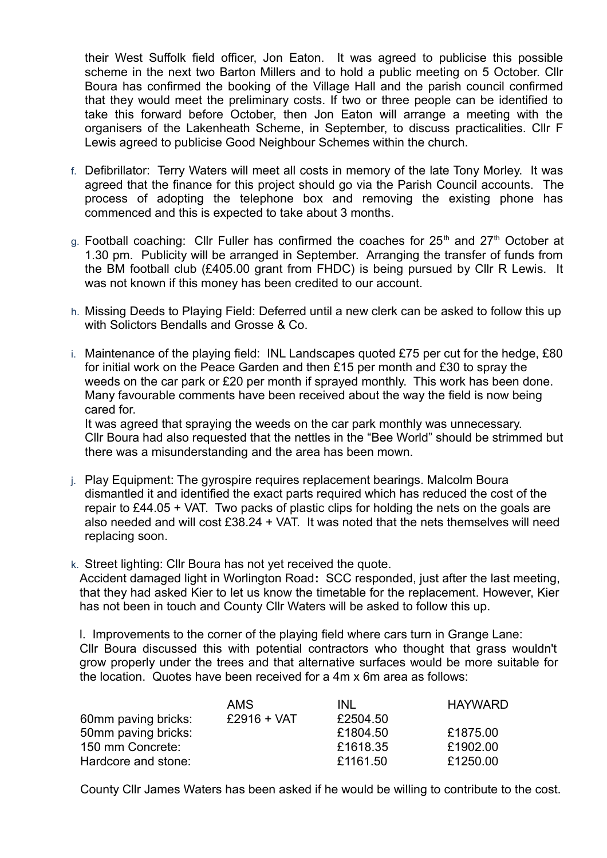their West Suffolk field officer, Jon Eaton. It was agreed to publicise this possible scheme in the next two Barton Millers and to hold a public meeting on 5 October. Cllr Boura has confirmed the booking of the Village Hall and the parish council confirmed that they would meet the preliminary costs. If two or three people can be identified to take this forward before October, then Jon Eaton will arrange a meeting with the organisers of the Lakenheath Scheme, in September, to discuss practicalities. Cllr F Lewis agreed to publicise Good Neighbour Schemes within the church.

- f. Defibrillator: Terry Waters will meet all costs in memory of the late Tony Morley. It was agreed that the finance for this project should go via the Parish Council accounts. The process of adopting the telephone box and removing the existing phone has commenced and this is expected to take about 3 months.
- g. Football coaching: Cllr Fuller has confirmed the coaches for  $25<sup>th</sup>$  and  $27<sup>th</sup>$  October at 1.30 pm. Publicity will be arranged in September. Arranging the transfer of funds from the BM football club (£405.00 grant from FHDC) is being pursued by Cllr R Lewis. It was not known if this money has been credited to our account.
- h. Missing Deeds to Playing Field: Deferred until a new clerk can be asked to follow this up with Solictors Bendalls and Grosse & Co.
- i. Maintenance of the playing field: INL Landscapes quoted £75 per cut for the hedge, £80 for initial work on the Peace Garden and then £15 per month and £30 to spray the weeds on the car park or £20 per month if sprayed monthly. This work has been done. Many favourable comments have been received about the way the field is now being cared for.

It was agreed that spraying the weeds on the car park monthly was unnecessary. Cllr Boura had also requested that the nettles in the "Bee World" should be strimmed but there was a misunderstanding and the area has been mown.

- j. Play Equipment: The gyrospire requires replacement bearings. Malcolm Boura dismantled it and identified the exact parts required which has reduced the cost of the repair to £44.05 + VAT. Two packs of plastic clips for holding the nets on the goals are also needed and will cost £38.24 + VAT. It was noted that the nets themselves will need replacing soon.
- k. Street lighting: Cllr Boura has not yet received the quote.

Accident damaged light in Worlington Road**:** SCC responded, just after the last meeting, that they had asked Kier to let us know the timetable for the replacement. However, Kier has not been in touch and County Cllr Waters will be asked to follow this up.

l. Improvements to the corner of the playing field where cars turn in Grange Lane: Cllr Boura discussed this with potential contractors who thought that grass wouldn't grow properly under the trees and that alternative surfaces would be more suitable for the location. Quotes have been received for a 4m x 6m area as follows:

|                     | <b>AMS</b>    | INI      | <b>HAYWARD</b> |
|---------------------|---------------|----------|----------------|
| 60mm paving bricks: | $£2916 + VAT$ | £2504.50 |                |
| 50mm paving bricks: |               | £1804.50 | £1875.00       |
| 150 mm Concrete:    |               | £1618.35 | £1902.00       |
| Hardcore and stone: |               | £1161.50 | £1250.00       |

County Cllr James Waters has been asked if he would be willing to contribute to the cost.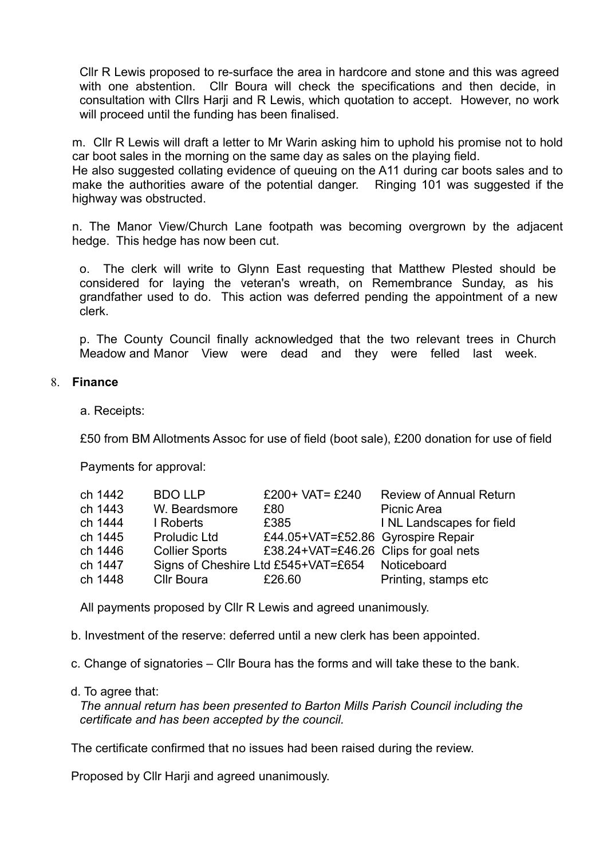Cllr R Lewis proposed to re-surface the area in hardcore and stone and this was agreed with one abstention. Cllr Boura will check the specifications and then decide, in consultation with Cllrs Harji and R Lewis, which quotation to accept. However, no work will proceed until the funding has been finalised.

m.Cllr R Lewis will draft a letter to Mr Warin asking him to uphold his promise not to hold car boot sales in the morning on the same day as sales on the playing field.

He also suggested collating evidence of queuing on the A11 during car boots sales and to make the authorities aware of the potential danger.Ringing 101 was suggested if the highway was obstructed.

n. The Manor View/Church Lane footpath was becoming overgrown by the adjacent hedge. This hedge has now been cut.

o. The clerk will write to Glynn East requesting that Matthew Plested should be considered for laying the veteran's wreath, on Remembrance Sunday, as his grandfather used to do. This action was deferred pending the appointment of a new clerk.

p. The County Council finally acknowledged that the two relevant trees in Church Meadow and Manor View were dead and they were felled last week.

#### 8. **Finance**

a. Receipts:

£50 from BM Allotments Assoc for use of field (boot sale), £200 donation for use of field

Payments for approval:

| ch 1442 | <b>BDO LLP</b>        | £200+ VAT= $£240$                               | <b>Review of Annual Return</b> |
|---------|-----------------------|-------------------------------------------------|--------------------------------|
| ch 1443 | W. Beardsmore         | £80                                             | Picnic Area                    |
| ch 1444 | I Roberts             | £385                                            | I NL Landscapes for field      |
| ch 1445 | <b>Proludic Ltd</b>   | £44.05+VAT=£52.86 Gyrospire Repair              |                                |
| ch 1446 | <b>Collier Sports</b> | £38.24+VAT=£46.26 Clips for goal nets           |                                |
| ch 1447 |                       | Signs of Cheshire Ltd £545+VAT=£654 Noticeboard |                                |
| ch 1448 | <b>Cllr Boura</b>     | £26.60                                          | Printing, stamps etc           |

All payments proposed by Cllr R Lewis and agreed unanimously.

b. Investment of the reserve: deferred until a new clerk has been appointed.

- c. Change of signatories Cllr Boura has the forms and will take these to the bank.
- d. To agree that:

*The annual return has been presented to Barton Mills Parish Council including the certificate and has been accepted by the council.*

The certificate confirmed that no issues had been raised during the review.

Proposed by Cllr Harji and agreed unanimously.